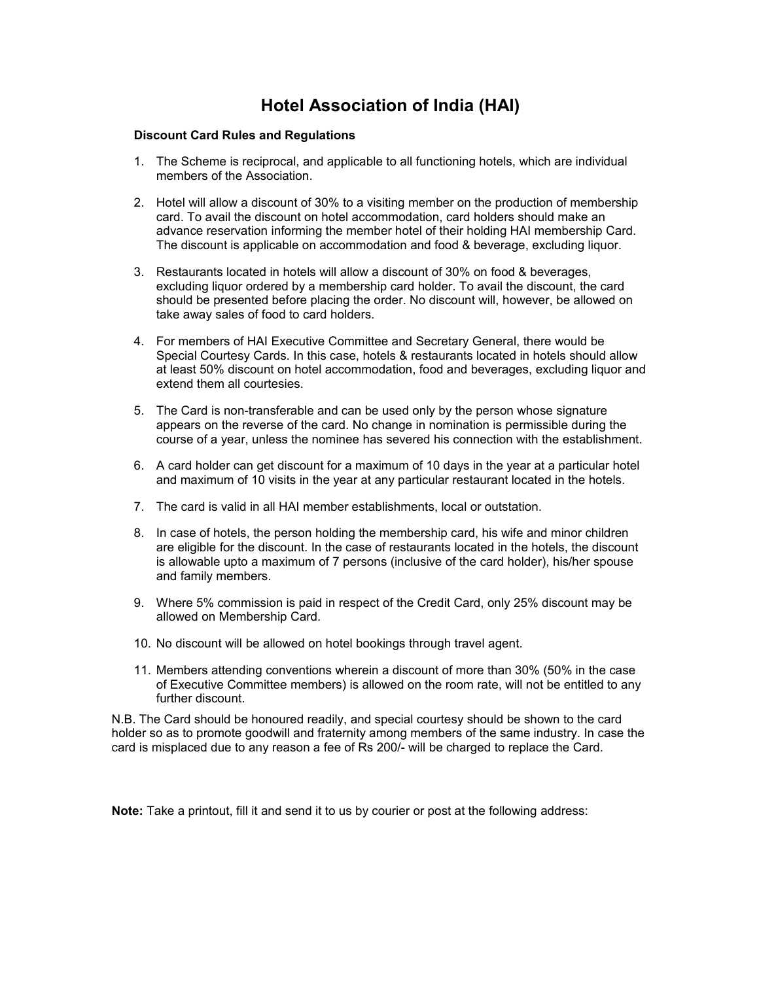## **Hotel Association of India (HAI)**

## **Discount Card Rules and Regulations**

- 1. The Scheme is reciprocal, and applicable to all functioning hotels, which are individual members of the Association.
- 2. Hotel will allow a discount of 30% to a visiting member on the production of membership card. To avail the discount on hotel accommodation, card holders should make an advance reservation informing the member hotel of their holding HAI membership Card. The discount is applicable on accommodation and food & beverage, excluding liquor.
- 3. Restaurants located in hotels will allow a discount of 30% on food & beverages, excluding liquor ordered by a membership card holder. To avail the discount, the card should be presented before placing the order. No discount will, however, be allowed on take away sales of food to card holders.
- 4. For members of HAI Executive Committee and Secretary General, there would be Special Courtesy Cards. In this case, hotels & restaurants located in hotels should allow at least 50% discount on hotel accommodation, food and beverages, excluding liquor and extend them all courtesies.
- 5. The Card is non-transferable and can be used only by the person whose signature appears on the reverse of the card. No change in nomination is permissible during the course of a year, unless the nominee has severed his connection with the establishment.
- 6. A card holder can get discount for a maximum of 10 days in the year at a particular hotel and maximum of 10 visits in the year at any particular restaurant located in the hotels.
- 7. The card is valid in all HAI member establishments, local or outstation.
- 8. In case of hotels, the person holding the membership card, his wife and minor children are eligible for the discount. In the case of restaurants located in the hotels, the discount is allowable upto a maximum of 7 persons (inclusive of the card holder), his/her spouse and family members.
- 9. Where 5% commission is paid in respect of the Credit Card, only 25% discount may be allowed on Membership Card.
- 10. No discount will be allowed on hotel bookings through travel agent.
- 11. Members attending conventions wherein a discount of more than 30% (50% in the case of Executive Committee members) is allowed on the room rate, will not be entitled to any further discount.

N.B. The Card should be honoured readily, and special courtesy should be shown to the card holder so as to promote goodwill and fraternity among members of the same industry. In case the card is misplaced due to any reason a fee of Rs 200/- will be charged to replace the Card.

**Note:** Take a printout, fill it and send it to us by courier or post at the following address: